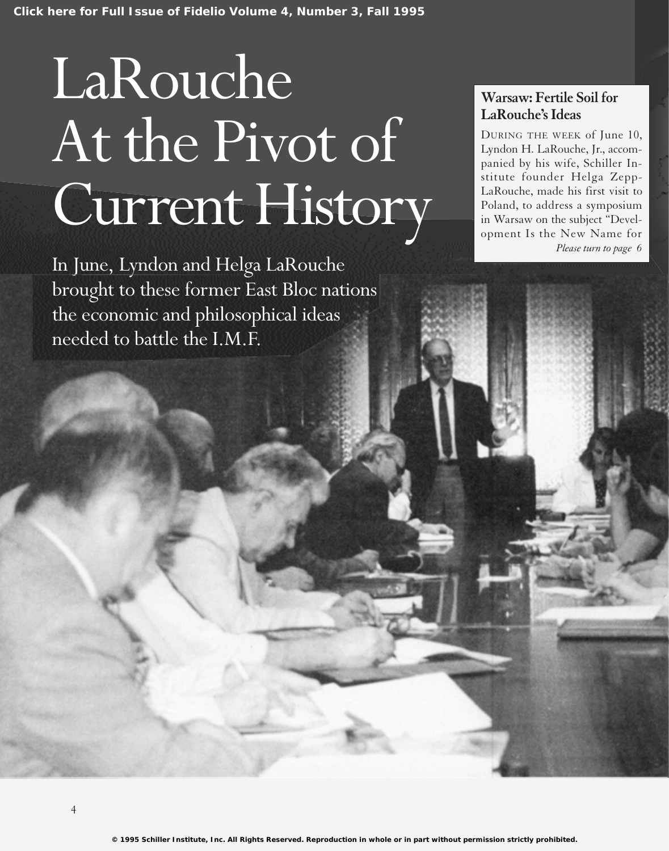# LaRouche At the Pivot of Current History

In June, Lyndon and Helga LaRouche brought to these former East Bloc nations the economic and philosophical ideas needed to battle the I.M.F.

# **Warsaw: Fertile Soil for LaRouche's Ideas**

DURING THE WEEK of June 10, Lyndon H. LaRouche, Jr., accompanied by his wife, Schiller Institute founder Helga Zepp-LaRouche, made his first visit to Poland, to address a symposium in Warsaw on the subject "Development Is the New Name for *Please turn to page 6*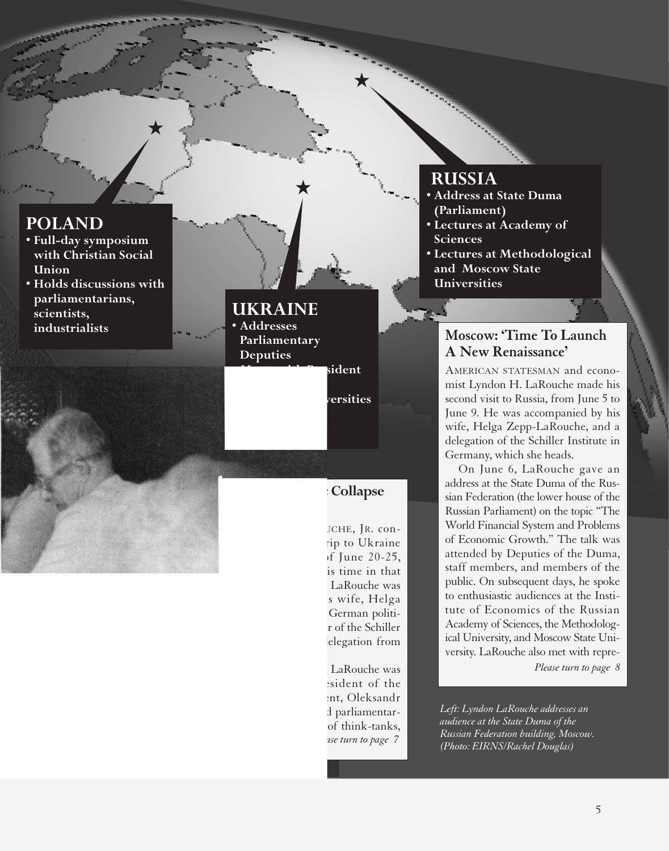## **POLAND**

**• Full-day symposium with Christian Social Union**

**★**

**• Holds discussions with parliamentarians, scientists, industrialists**

# **UKRAINE**

- **Addresses Parliamentary**
- **Deputies**
- **• Meets with President of Parliament**

**★**

**• Lectures at universities and scientific institutions**

# **Kiev: 'Economic Collapse Is Worldwide'**

LYNDON H. LAROUCHE, JR. conducted a five-day trip to Ukraine during the week of June 20-25, spending most of his time in that nation's capital, Kiev. LaRouche was accompanied by his wife, Helga Zepp-LaRouche, the German political figure and founder of the Schiller Institute, and by a delegation from the Institute.

While in Ukraine, LaRouche was greeted by the president of the Ukrainian Parliament, Oleksandr Moroz, and addressed parliamentarians, representatives of think-tanks, *Please turn to page 7*

# **RUSSIA**

**★**

- **Address at State Duma (Parliament)**
- **Lectures at Academy of Sciences**
- **Lectures at Methodological and Moscow State Universities**

# **Moscow: 'Time To Launch A New Renaissance'**

AMERICAN STATESMAN and economist Lyndon H. LaRouche made his second visit to Russia, from June 5 to June 9. He was accompanied by his wife, Helga Zepp-LaRouche, and a delegation of the Schiller Institute in Germany, which she heads.

On June 6, LaRouche gave an address at the State Duma of the Russian Federation (the lower house of the Russian Parliament) on the topic "The World Financial System and Problems of Economic Growth." The talk was attended by Deputies of the Duma, staff members, and members of the public. On subsequent days, he spoke to enthusiastic audiences at the Institute of Economics of the Russian Academy of Sciences, the Methodological University, and Moscow State University. LaRouche also met with repre-

*Please turn to page 8*

*Left: Lyndon LaRouche addresses an audience at the State Duma of the Russian Federation building, Moscow. (Photo: EIRNS/Rachel Douglas)*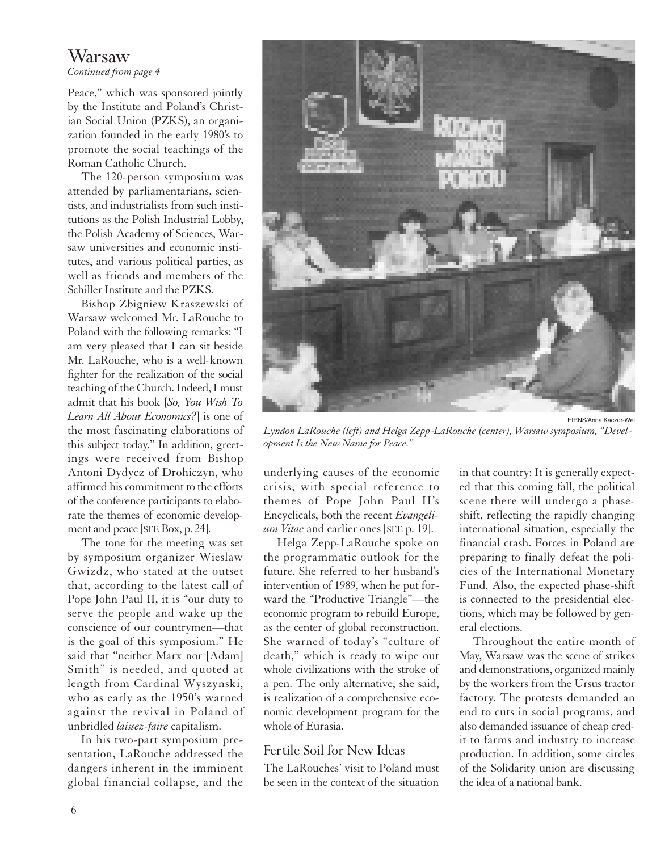# Warsaw

*Continued from page 4*

Peace," which was sponsored jointly by the Institute and Poland's Christian Social Union (PZKS), an organization founded in the early 1980's to promote the social teachings of the Roman Catholic Church.

The 120-person symposium was attended by parliamentarians, scientists, and industrialists from such institutions as the Polish Industrial Lobby, the Polish Academy of Sciences, Warsaw universities and economic institutes, and various political parties, as well as friends and members of the Schiller Institute and the PZKS.

Bishop Zbigniew Kraszewski of Warsaw welcomed Mr. LaRouche to Poland with the following remarks: "I am very pleased that I can sit beside Mr. LaRouche, who is a well-known fighter for the realization of the social teaching of the Church. Indeed, I must admit that his book [*So, You Wish To Learn All About Economics?*] is one of the most fascinating elaborations of this subject today." In addition, greetings were received from Bishop Antoni Dydycz of Drohiczyn, who affirmed his commitment to the efforts of the conference participants to elaborate the themes of economic development and peace [SEE Box, p. 24].

The tone for the meeting was set by symposium organizer Wieslaw Gwizdz, who stated at the outset that, according to the latest call of Pope John Paul II, it is "our duty to serve the people and wake up the conscience of our countrymen—that is the goal of this symposium." He said that "neither Marx nor [Adam] Smith" is needed, and quoted at length from Cardinal Wyszynski, who as early as the 1950's warned against the revival in Poland of unbridled *laissez-faire* capitalism.

In his two-part symposium presentation, LaRouche addressed the dangers inherent in the imminent global financial collapse, and the



*Lyndon LaRouche (left) and Helga Zepp-LaRouche (center), Warsaw symposium, "Development Is the New Name for Peace."*

underlying causes of the economic crisis, with special reference to themes of Pope John Paul II's Encyclicals, both the recent *Evangelium Vitae* and earlier ones [SEE p. 19].

Helga Zepp-LaRouche spoke on the programmatic outlook for the future. She referred to her husband's intervention of 1989, when he put forward the "Productive Triangle"—the economic program to rebuild Europe, as the center of global reconstruction. She warned of today's "culture of death," which is ready to wipe out whole civilizations with the stroke of a pen. The only alternative, she said, is realization of a comprehensive economic development program for the whole of Eurasia.

#### Fertile Soil for New Ideas

The LaRouches' visit to Poland must be seen in the context of the situation

in that country: It is generally expected that this coming fall, the political scene there will undergo a phaseshift, reflecting the rapidly changing international situation, especially the financial crash. Forces in Poland are preparing to finally defeat the policies of the International Monetary Fund. Also, the expected phase-shift is connected to the presidential elections, which may be followed by general elections.

Throughout the entire month of May, Warsaw was the scene of strikes and demonstrations, organized mainly by the workers from the Ursus tractor factory. The protests demanded an end to cuts in social programs, and also demanded issuance of cheap credit to farms and industry to increase production. In addition, some circles of the Solidarity union are discussing the idea of a national bank.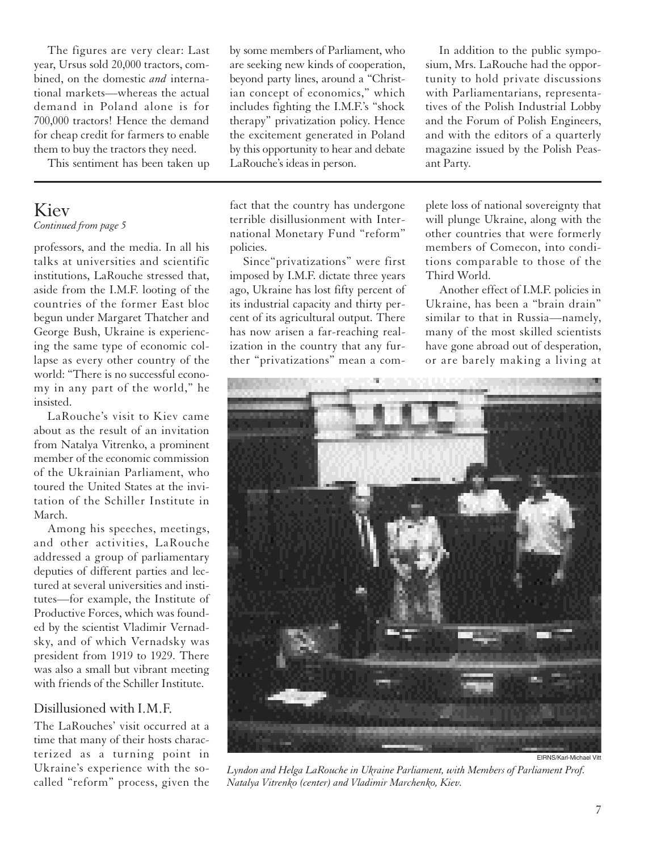The figures are very clear: Last year, Ursus sold 20,000 tractors, combined, on the domestic *and* international markets—whereas the actual demand in Poland alone is for 700,000 tractors! Hence the demand for cheap credit for farmers to enable them to buy the tractors they need.

This sentiment has been taken up

#### Kiev *Continued from page 5*

professors, and the media. In all his talks at universities and scientific institutions, LaRouche stressed that, aside from the I.M.F. looting of the countries of the former East bloc begun under Margaret Thatcher and George Bush, Ukraine is experiencing the same type of economic collapse as every other country of the world: "There is no successful economy in any part of the world," he insisted.

LaRouche's visit to Kiev came about as the result of an invitation from Natalya Vitrenko, a prominent member of the economic commission of the Ukrainian Parliament, who toured the United States at the invitation of the Schiller Institute in March.

Among his speeches, meetings, and other activities, LaRouche addressed a group of parliamentary deputies of different parties and lectured at several universities and institutes—for example, the Institute of Productive Forces, which was founded by the scientist Vladimir Vernadsky, and of which Vernadsky was president from 1919 to 1929. There was also a small but vibrant meeting with friends of the Schiller Institute.

#### Disillusioned with I.M.F.

The LaRouches' visit occurred at a time that many of their hosts characterized as a turning point in Ukraine's experience with the socalled "reform" process, given the by some members of Parliament, who are seeking new kinds of cooperation, beyond party lines, around a "Christian concept of economics," which includes fighting the I.M.F.'s "shock therapy" privatization policy. Hence the excitement generated in Poland by this opportunity to hear and debate LaRouche's ideas in person.

fact that the country has undergone terrible disillusionment with International Monetary Fund "reform" policies.

Since"privatizations" were first imposed by I.M.F. dictate three years ago, Ukraine has lost fifty percent of its industrial capacity and thirty percent of its agricultural output. There has now arisen a far-reaching realization in the country that any further "privatizations" mean a com-

In addition to the public symposium, Mrs. LaRouche had the opportunity to hold private discussions with Parliamentarians, representatives of the Polish Industrial Lobby and the Forum of Polish Engineers, and with the editors of a quarterly magazine issued by the Polish Peasant Party.

plete loss of national sovereignty that will plunge Ukraine, along with the other countries that were formerly members of Comecon, into conditions comparable to those of the Third World.

Another effect of I.M.F. policies in Ukraine, has been a "brain drain" similar to that in Russia—namely, many of the most skilled scientists have gone abroad out of desperation, or are barely making a living at



*Lyndon and Helga LaRouche in Ukraine Parliament, with Members of Parliament Prof. Natalya Vitrenko (center) and Vladimir Marchenko, Kiev.*